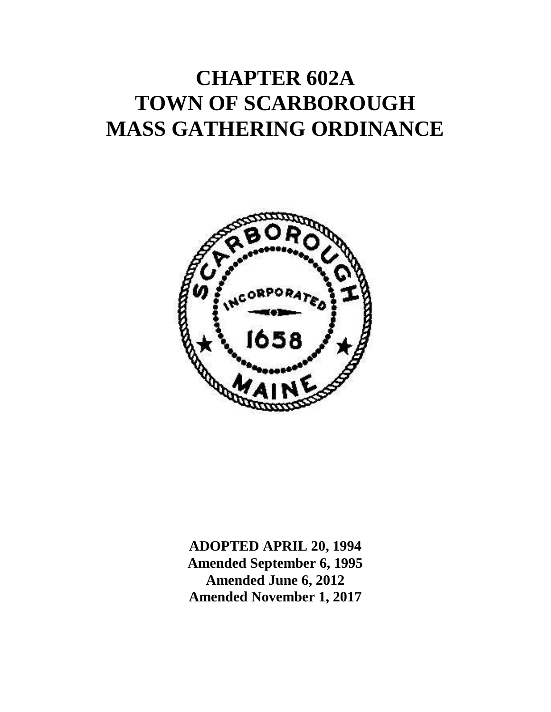# **CHAPTER 602A TOWN OF SCARBOROUGH MASS GATHERING ORDINANCE**



**ADOPTED APRIL 20, 1994 Amended September 6, 1995 Amended June 6, 2012 Amended November 1, 2017**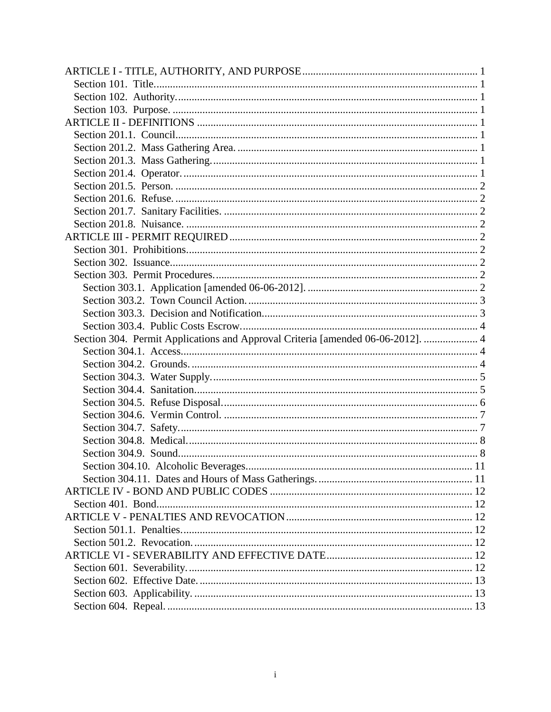| Section 304. Permit Applications and Approval Criteria [amended 06-06-2012].  4 |  |
|---------------------------------------------------------------------------------|--|
|                                                                                 |  |
|                                                                                 |  |
|                                                                                 |  |
|                                                                                 |  |
|                                                                                 |  |
|                                                                                 |  |
|                                                                                 |  |
|                                                                                 |  |
|                                                                                 |  |
|                                                                                 |  |
|                                                                                 |  |
|                                                                                 |  |
|                                                                                 |  |
|                                                                                 |  |
|                                                                                 |  |
|                                                                                 |  |
|                                                                                 |  |
|                                                                                 |  |
|                                                                                 |  |
|                                                                                 |  |
|                                                                                 |  |
|                                                                                 |  |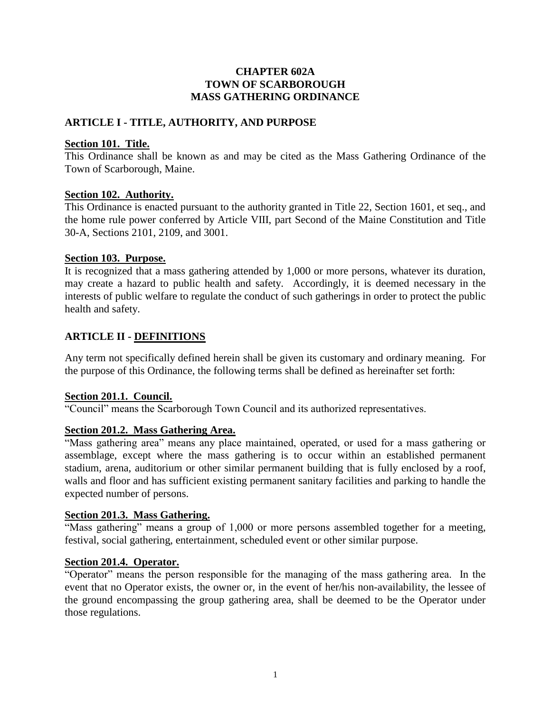# **CHAPTER 602A TOWN OF SCARBOROUGH MASS GATHERING ORDINANCE**

# <span id="page-2-0"></span>**ARTICLE I - TITLE, AUTHORITY, AND PURPOSE**

#### <span id="page-2-1"></span>**Section 101. Title.**

This Ordinance shall be known as and may be cited as the Mass Gathering Ordinance of the Town of Scarborough, Maine.

# <span id="page-2-2"></span>**Section 102. Authority.**

This Ordinance is enacted pursuant to the authority granted in Title 22, Section 1601, et seq., and the home rule power conferred by Article VIII, part Second of the Maine Constitution and Title 30-A, Sections 2101, 2109, and 3001.

# <span id="page-2-3"></span>**Section 103. Purpose.**

It is recognized that a mass gathering attended by 1,000 or more persons, whatever its duration, may create a hazard to public health and safety. Accordingly, it is deemed necessary in the interests of public welfare to regulate the conduct of such gatherings in order to protect the public health and safety.

# <span id="page-2-4"></span>**ARTICLE II - DEFINITIONS**

Any term not specifically defined herein shall be given its customary and ordinary meaning. For the purpose of this Ordinance, the following terms shall be defined as hereinafter set forth:

# <span id="page-2-5"></span>**Section 201.1. Council.**

"Council" means the Scarborough Town Council and its authorized representatives.

# <span id="page-2-6"></span>**Section 201.2. Mass Gathering Area.**

"Mass gathering area" means any place maintained, operated, or used for a mass gathering or assemblage, except where the mass gathering is to occur within an established permanent stadium, arena, auditorium or other similar permanent building that is fully enclosed by a roof, walls and floor and has sufficient existing permanent sanitary facilities and parking to handle the expected number of persons.

# <span id="page-2-7"></span>**Section 201.3. Mass Gathering.**

"Mass gathering" means a group of 1,000 or more persons assembled together for a meeting, festival, social gathering, entertainment, scheduled event or other similar purpose.

#### <span id="page-2-8"></span>**Section 201.4. Operator.**

"Operator" means the person responsible for the managing of the mass gathering area. In the event that no Operator exists, the owner or, in the event of her/his non-availability, the lessee of the ground encompassing the group gathering area, shall be deemed to be the Operator under those regulations.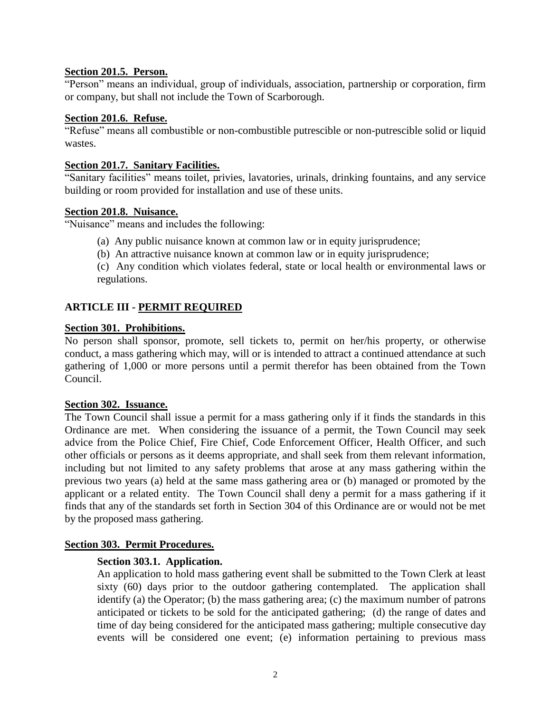# <span id="page-3-0"></span>**Section 201.5. Person.**

"Person" means an individual, group of individuals, association, partnership or corporation, firm or company, but shall not include the Town of Scarborough.

# <span id="page-3-1"></span>**Section 201.6. Refuse.**

"Refuse" means all combustible or non-combustible putrescible or non-putrescible solid or liquid wastes.

# <span id="page-3-2"></span>**Section 201.7. Sanitary Facilities.**

"Sanitary facilities" means toilet, privies, lavatories, urinals, drinking fountains, and any service building or room provided for installation and use of these units.

#### <span id="page-3-3"></span>**Section 201.8. Nuisance.**

"Nuisance" means and includes the following:

- (a) Any public nuisance known at common law or in equity jurisprudence;
- (b) An attractive nuisance known at common law or in equity jurisprudence;

(c) Any condition which violates federal, state or local health or environmental laws or regulations.

# <span id="page-3-4"></span>**ARTICLE III - PERMIT REQUIRED**

#### <span id="page-3-5"></span>**Section 301. Prohibitions.**

No person shall sponsor, promote, sell tickets to, permit on her/his property, or otherwise conduct, a mass gathering which may, will or is intended to attract a continued attendance at such gathering of 1,000 or more persons until a permit therefor has been obtained from the Town Council.

# <span id="page-3-6"></span>**Section 302. Issuance.**

The Town Council shall issue a permit for a mass gathering only if it finds the standards in this Ordinance are met. When considering the issuance of a permit, the Town Council may seek advice from the Police Chief, Fire Chief, Code Enforcement Officer, Health Officer, and such other officials or persons as it deems appropriate, and shall seek from them relevant information, including but not limited to any safety problems that arose at any mass gathering within the previous two years (a) held at the same mass gathering area or (b) managed or promoted by the applicant or a related entity. The Town Council shall deny a permit for a mass gathering if it finds that any of the standards set forth in Section 304 of this Ordinance are or would not be met by the proposed mass gathering.

# <span id="page-3-8"></span><span id="page-3-7"></span>**Section 303. Permit Procedures.**

# **Section 303.1. Application.**

An application to hold mass gathering event shall be submitted to the Town Clerk at least sixty (60) days prior to the outdoor gathering contemplated. The application shall identify (a) the Operator; (b) the mass gathering area; (c) the maximum number of patrons anticipated or tickets to be sold for the anticipated gathering; (d) the range of dates and time of day being considered for the anticipated mass gathering; multiple consecutive day events will be considered one event; (e) information pertaining to previous mass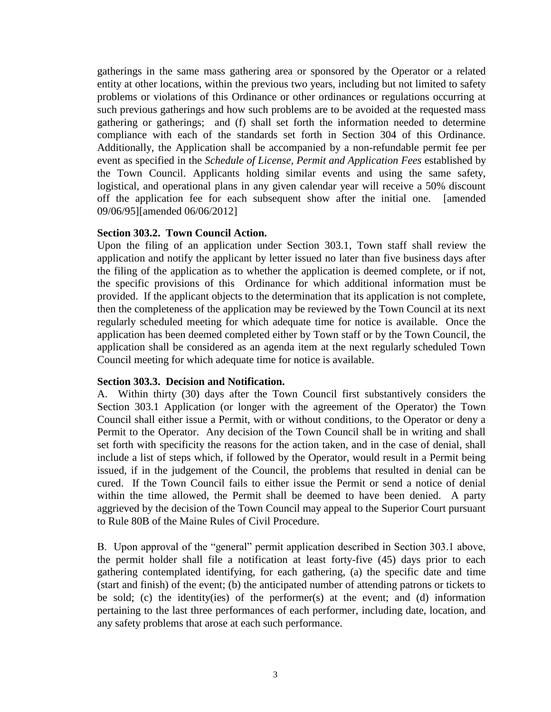gatherings in the same mass gathering area or sponsored by the Operator or a related entity at other locations, within the previous two years, including but not limited to safety problems or violations of this Ordinance or other ordinances or regulations occurring at such previous gatherings and how such problems are to be avoided at the requested mass gathering or gatherings; and (f) shall set forth the information needed to determine compliance with each of the standards set forth in Section 304 of this Ordinance. Additionally, the Application shall be accompanied by a non-refundable permit fee per event as specified in the *Schedule of License, Permit and Application Fees* established by the Town Council. Applicants holding similar events and using the same safety, logistical, and operational plans in any given calendar year will receive a 50% discount off the application fee for each subsequent show after the initial one. [amended 09/06/95][amended 06/06/2012]

#### <span id="page-4-0"></span>**Section 303.2. Town Council Action.**

Upon the filing of an application under Section 303.1, Town staff shall review the application and notify the applicant by letter issued no later than five business days after the filing of the application as to whether the application is deemed complete, or if not, the specific provisions of this Ordinance for which additional information must be provided. If the applicant objects to the determination that its application is not complete, then the completeness of the application may be reviewed by the Town Council at its next regularly scheduled meeting for which adequate time for notice is available. Once the application has been deemed completed either by Town staff or by the Town Council, the application shall be considered as an agenda item at the next regularly scheduled Town Council meeting for which adequate time for notice is available.

#### <span id="page-4-1"></span>**Section 303.3. Decision and Notification.**

A. Within thirty (30) days after the Town Council first substantively considers the Section 303.1 Application (or longer with the agreement of the Operator) the Town Council shall either issue a Permit, with or without conditions, to the Operator or deny a Permit to the Operator. Any decision of the Town Council shall be in writing and shall set forth with specificity the reasons for the action taken, and in the case of denial, shall include a list of steps which, if followed by the Operator, would result in a Permit being issued, if in the judgement of the Council, the problems that resulted in denial can be cured. If the Town Council fails to either issue the Permit or send a notice of denial within the time allowed, the Permit shall be deemed to have been denied. A party aggrieved by the decision of the Town Council may appeal to the Superior Court pursuant to Rule 80B of the Maine Rules of Civil Procedure.

B. Upon approval of the "general" permit application described in Section 303.1 above, the permit holder shall file a notification at least forty-five (45) days prior to each gathering contemplated identifying, for each gathering, (a) the specific date and time (start and finish) of the event; (b) the anticipated number of attending patrons or tickets to be sold; (c) the identity(ies) of the performer(s) at the event; and (d) information pertaining to the last three performances of each performer, including date, location, and any safety problems that arose at each such performance.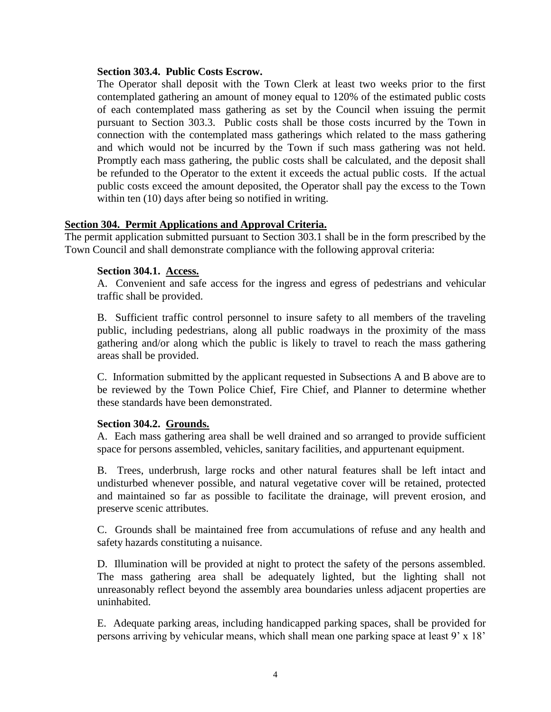#### <span id="page-5-0"></span>**Section 303.4. Public Costs Escrow.**

The Operator shall deposit with the Town Clerk at least two weeks prior to the first contemplated gathering an amount of money equal to 120% of the estimated public costs of each contemplated mass gathering as set by the Council when issuing the permit pursuant to Section 303.3. Public costs shall be those costs incurred by the Town in connection with the contemplated mass gatherings which related to the mass gathering and which would not be incurred by the Town if such mass gathering was not held. Promptly each mass gathering, the public costs shall be calculated, and the deposit shall be refunded to the Operator to the extent it exceeds the actual public costs. If the actual public costs exceed the amount deposited, the Operator shall pay the excess to the Town within ten (10) days after being so notified in writing.

# <span id="page-5-1"></span>**Section 304. Permit Applications and Approval Criteria.**

<span id="page-5-2"></span>The permit application submitted pursuant to Section 303.1 shall be in the form prescribed by the Town Council and shall demonstrate compliance with the following approval criteria:

#### **Section 304.1. Access.**

A. Convenient and safe access for the ingress and egress of pedestrians and vehicular traffic shall be provided.

B. Sufficient traffic control personnel to insure safety to all members of the traveling public, including pedestrians, along all public roadways in the proximity of the mass gathering and/or along which the public is likely to travel to reach the mass gathering areas shall be provided.

C. Information submitted by the applicant requested in Subsections A and B above are to be reviewed by the Town Police Chief, Fire Chief, and Planner to determine whether these standards have been demonstrated.

# <span id="page-5-3"></span>**Section 304.2. Grounds.**

A. Each mass gathering area shall be well drained and so arranged to provide sufficient space for persons assembled, vehicles, sanitary facilities, and appurtenant equipment.

B. Trees, underbrush, large rocks and other natural features shall be left intact and undisturbed whenever possible, and natural vegetative cover will be retained, protected and maintained so far as possible to facilitate the drainage, will prevent erosion, and preserve scenic attributes.

C. Grounds shall be maintained free from accumulations of refuse and any health and safety hazards constituting a nuisance.

D. Illumination will be provided at night to protect the safety of the persons assembled. The mass gathering area shall be adequately lighted, but the lighting shall not unreasonably reflect beyond the assembly area boundaries unless adjacent properties are uninhabited.

E. Adequate parking areas, including handicapped parking spaces, shall be provided for persons arriving by vehicular means, which shall mean one parking space at least 9' x 18'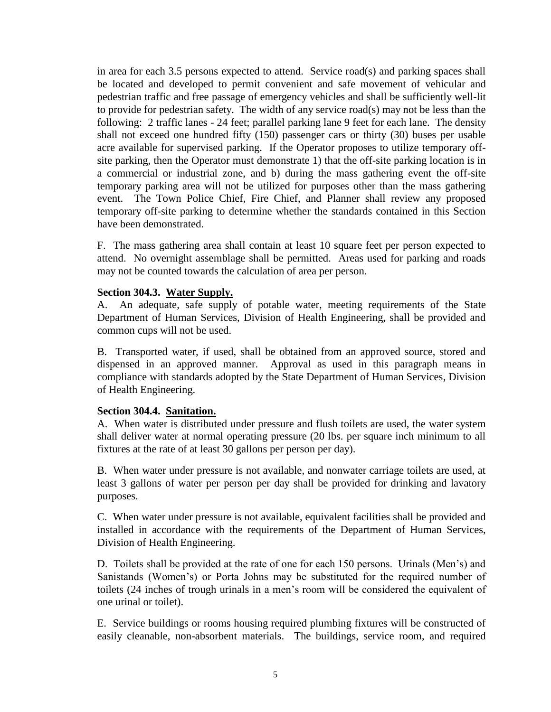in area for each 3.5 persons expected to attend. Service road(s) and parking spaces shall be located and developed to permit convenient and safe movement of vehicular and pedestrian traffic and free passage of emergency vehicles and shall be sufficiently well-lit to provide for pedestrian safety. The width of any service road(s) may not be less than the following: 2 traffic lanes - 24 feet; parallel parking lane 9 feet for each lane. The density shall not exceed one hundred fifty (150) passenger cars or thirty (30) buses per usable acre available for supervised parking. If the Operator proposes to utilize temporary offsite parking, then the Operator must demonstrate 1) that the off-site parking location is in a commercial or industrial zone, and b) during the mass gathering event the off-site temporary parking area will not be utilized for purposes other than the mass gathering event. The Town Police Chief, Fire Chief, and Planner shall review any proposed temporary off-site parking to determine whether the standards contained in this Section have been demonstrated.

F. The mass gathering area shall contain at least 10 square feet per person expected to attend. No overnight assemblage shall be permitted. Areas used for parking and roads may not be counted towards the calculation of area per person.

#### <span id="page-6-0"></span>**Section 304.3. Water Supply.**

A. An adequate, safe supply of potable water, meeting requirements of the State Department of Human Services, Division of Health Engineering, shall be provided and common cups will not be used.

B. Transported water, if used, shall be obtained from an approved source, stored and dispensed in an approved manner. Approval as used in this paragraph means in compliance with standards adopted by the State Department of Human Services, Division of Health Engineering.

# <span id="page-6-1"></span>**Section 304.4. Sanitation.**

A. When water is distributed under pressure and flush toilets are used, the water system shall deliver water at normal operating pressure (20 lbs. per square inch minimum to all fixtures at the rate of at least 30 gallons per person per day).

B. When water under pressure is not available, and nonwater carriage toilets are used, at least 3 gallons of water per person per day shall be provided for drinking and lavatory purposes.

C. When water under pressure is not available, equivalent facilities shall be provided and installed in accordance with the requirements of the Department of Human Services, Division of Health Engineering.

D. Toilets shall be provided at the rate of one for each 150 persons. Urinals (Men's) and Sanistands (Women's) or Porta Johns may be substituted for the required number of toilets (24 inches of trough urinals in a men's room will be considered the equivalent of one urinal or toilet).

E. Service buildings or rooms housing required plumbing fixtures will be constructed of easily cleanable, non-absorbent materials. The buildings, service room, and required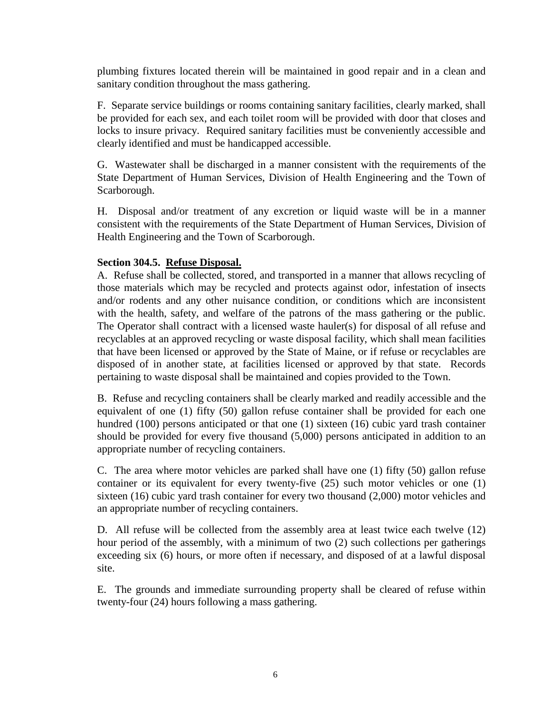plumbing fixtures located therein will be maintained in good repair and in a clean and sanitary condition throughout the mass gathering.

F. Separate service buildings or rooms containing sanitary facilities, clearly marked, shall be provided for each sex, and each toilet room will be provided with door that closes and locks to insure privacy. Required sanitary facilities must be conveniently accessible and clearly identified and must be handicapped accessible.

G. Wastewater shall be discharged in a manner consistent with the requirements of the State Department of Human Services, Division of Health Engineering and the Town of Scarborough.

H. Disposal and/or treatment of any excretion or liquid waste will be in a manner consistent with the requirements of the State Department of Human Services, Division of Health Engineering and the Town of Scarborough.

# <span id="page-7-0"></span>**Section 304.5. Refuse Disposal.**

A. Refuse shall be collected, stored, and transported in a manner that allows recycling of those materials which may be recycled and protects against odor, infestation of insects and/or rodents and any other nuisance condition, or conditions which are inconsistent with the health, safety, and welfare of the patrons of the mass gathering or the public. The Operator shall contract with a licensed waste hauler(s) for disposal of all refuse and recyclables at an approved recycling or waste disposal facility, which shall mean facilities that have been licensed or approved by the State of Maine, or if refuse or recyclables are disposed of in another state, at facilities licensed or approved by that state. Records pertaining to waste disposal shall be maintained and copies provided to the Town.

B. Refuse and recycling containers shall be clearly marked and readily accessible and the equivalent of one (1) fifty (50) gallon refuse container shall be provided for each one hundred (100) persons anticipated or that one (1) sixteen (16) cubic yard trash container should be provided for every five thousand (5,000) persons anticipated in addition to an appropriate number of recycling containers.

C. The area where motor vehicles are parked shall have one (1) fifty (50) gallon refuse container or its equivalent for every twenty-five (25) such motor vehicles or one (1) sixteen (16) cubic yard trash container for every two thousand (2,000) motor vehicles and an appropriate number of recycling containers.

D. All refuse will be collected from the assembly area at least twice each twelve (12) hour period of the assembly, with a minimum of two (2) such collections per gatherings exceeding six (6) hours, or more often if necessary, and disposed of at a lawful disposal site.

E. The grounds and immediate surrounding property shall be cleared of refuse within twenty-four (24) hours following a mass gathering.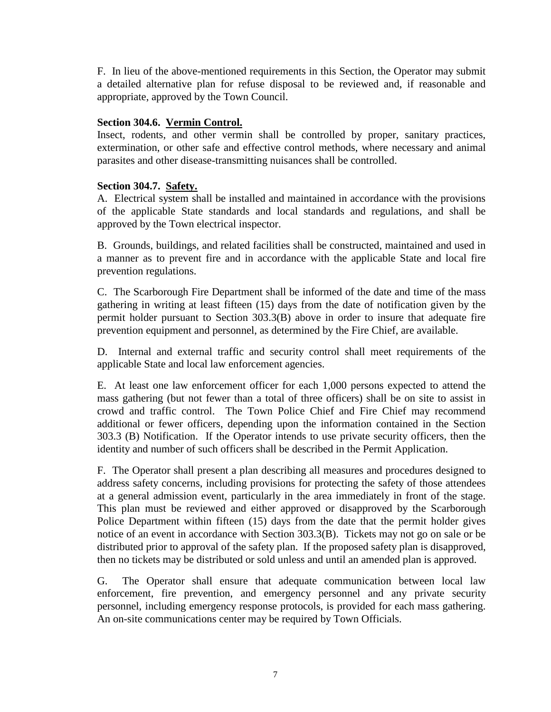F. In lieu of the above-mentioned requirements in this Section, the Operator may submit a detailed alternative plan for refuse disposal to be reviewed and, if reasonable and appropriate, approved by the Town Council.

# <span id="page-8-0"></span>**Section 304.6. Vermin Control.**

Insect, rodents, and other vermin shall be controlled by proper, sanitary practices, extermination, or other safe and effective control methods, where necessary and animal parasites and other disease-transmitting nuisances shall be controlled.

# <span id="page-8-1"></span>**Section 304.7. Safety.**

A. Electrical system shall be installed and maintained in accordance with the provisions of the applicable State standards and local standards and regulations, and shall be approved by the Town electrical inspector.

B. Grounds, buildings, and related facilities shall be constructed, maintained and used in a manner as to prevent fire and in accordance with the applicable State and local fire prevention regulations.

C. The Scarborough Fire Department shall be informed of the date and time of the mass gathering in writing at least fifteen (15) days from the date of notification given by the permit holder pursuant to Section 303.3(B) above in order to insure that adequate fire prevention equipment and personnel, as determined by the Fire Chief, are available.

D. Internal and external traffic and security control shall meet requirements of the applicable State and local law enforcement agencies.

E. At least one law enforcement officer for each 1,000 persons expected to attend the mass gathering (but not fewer than a total of three officers) shall be on site to assist in crowd and traffic control. The Town Police Chief and Fire Chief may recommend additional or fewer officers, depending upon the information contained in the Section 303.3 (B) Notification. If the Operator intends to use private security officers, then the identity and number of such officers shall be described in the Permit Application.

F. The Operator shall present a plan describing all measures and procedures designed to address safety concerns, including provisions for protecting the safety of those attendees at a general admission event, particularly in the area immediately in front of the stage. This plan must be reviewed and either approved or disapproved by the Scarborough Police Department within fifteen (15) days from the date that the permit holder gives notice of an event in accordance with Section 303.3(B). Tickets may not go on sale or be distributed prior to approval of the safety plan. If the proposed safety plan is disapproved, then no tickets may be distributed or sold unless and until an amended plan is approved.

G. The Operator shall ensure that adequate communication between local law enforcement, fire prevention, and emergency personnel and any private security personnel, including emergency response protocols, is provided for each mass gathering. An on-site communications center may be required by Town Officials.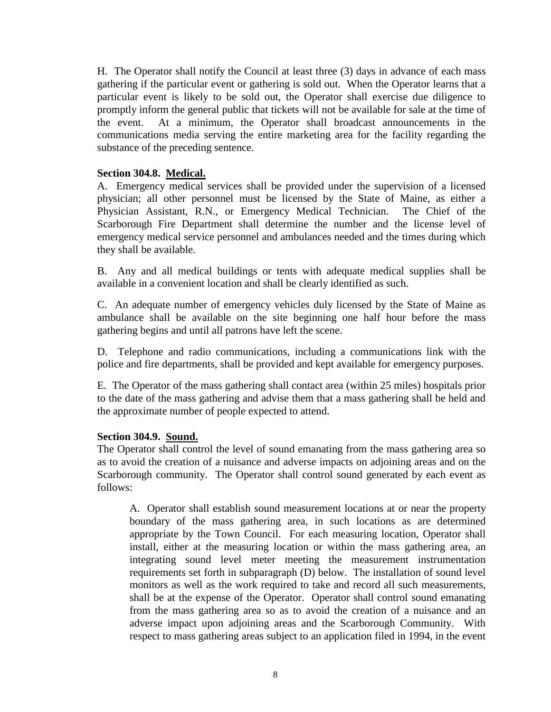H. The Operator shall notify the Council at least three (3) days in advance of each mass gathering if the particular event or gathering is sold out. When the Operator learns that a particular event is likely to be sold out, the Operator shall exercise due diligence to promptly inform the general public that tickets will not be available for sale at the time of the event. At a minimum, the Operator shall broadcast announcements in the communications media serving the entire marketing area for the facility regarding the substance of the preceding sentence.

# <span id="page-9-0"></span>**Section 304.8. Medical.**

A. Emergency medical services shall be provided under the supervision of a licensed physician; all other personnel must be licensed by the State of Maine, as either a Physician Assistant, R.N., or Emergency Medical Technician. The Chief of the Scarborough Fire Department shall determine the number and the license level of emergency medical service personnel and ambulances needed and the times during which they shall be available.

B. Any and all medical buildings or tents with adequate medical supplies shall be available in a convenient location and shall be clearly identified as such.

C. An adequate number of emergency vehicles duly licensed by the State of Maine as ambulance shall be available on the site beginning one half hour before the mass gathering begins and until all patrons have left the scene.

D. Telephone and radio communications, including a communications link with the police and fire departments, shall be provided and kept available for emergency purposes.

E. The Operator of the mass gathering shall contact area (within 25 miles) hospitals prior to the date of the mass gathering and advise them that a mass gathering shall be held and the approximate number of people expected to attend.

# <span id="page-9-1"></span>**Section 304.9. Sound.**

The Operator shall control the level of sound emanating from the mass gathering area so as to avoid the creation of a nuisance and adverse impacts on adjoining areas and on the Scarborough community. The Operator shall control sound generated by each event as follows:

A. Operator shall establish sound measurement locations at or near the property boundary of the mass gathering area, in such locations as are determined appropriate by the Town Council. For each measuring location, Operator shall install, either at the measuring location or within the mass gathering area, an integrating sound level meter meeting the measurement instrumentation requirements set forth in subparagraph (D) below. The installation of sound level monitors as well as the work required to take and record all such measurements, shall be at the expense of the Operator. Operator shall control sound emanating from the mass gathering area so as to avoid the creation of a nuisance and an adverse impact upon adjoining areas and the Scarborough Community. With respect to mass gathering areas subject to an application filed in 1994, in the event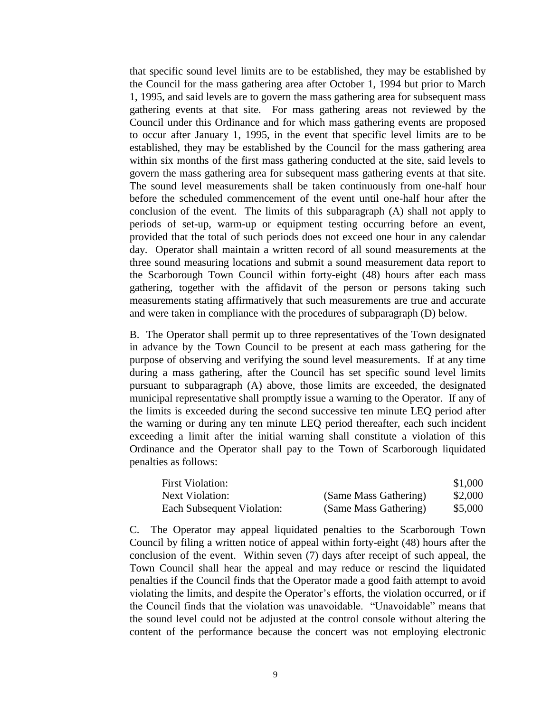that specific sound level limits are to be established, they may be established by the Council for the mass gathering area after October 1, 1994 but prior to March 1, 1995, and said levels are to govern the mass gathering area for subsequent mass gathering events at that site. For mass gathering areas not reviewed by the Council under this Ordinance and for which mass gathering events are proposed to occur after January 1, 1995, in the event that specific level limits are to be established, they may be established by the Council for the mass gathering area within six months of the first mass gathering conducted at the site, said levels to govern the mass gathering area for subsequent mass gathering events at that site. The sound level measurements shall be taken continuously from one-half hour before the scheduled commencement of the event until one-half hour after the conclusion of the event. The limits of this subparagraph (A) shall not apply to periods of set-up, warm-up or equipment testing occurring before an event, provided that the total of such periods does not exceed one hour in any calendar day. Operator shall maintain a written record of all sound measurements at the three sound measuring locations and submit a sound measurement data report to the Scarborough Town Council within forty-eight (48) hours after each mass gathering, together with the affidavit of the person or persons taking such measurements stating affirmatively that such measurements are true and accurate and were taken in compliance with the procedures of subparagraph (D) below.

B. The Operator shall permit up to three representatives of the Town designated in advance by the Town Council to be present at each mass gathering for the purpose of observing and verifying the sound level measurements. If at any time during a mass gathering, after the Council has set specific sound level limits pursuant to subparagraph (A) above, those limits are exceeded, the designated municipal representative shall promptly issue a warning to the Operator. If any of the limits is exceeded during the second successive ten minute LEQ period after the warning or during any ten minute LEQ period thereafter, each such incident exceeding a limit after the initial warning shall constitute a violation of this Ordinance and the Operator shall pay to the Town of Scarborough liquidated penalties as follows:

| <b>First Violation:</b>    |                       | \$1,000 |
|----------------------------|-----------------------|---------|
| Next Violation:            | (Same Mass Gathering) | \$2,000 |
| Each Subsequent Violation: | (Same Mass Gathering) | \$5,000 |

C. The Operator may appeal liquidated penalties to the Scarborough Town Council by filing a written notice of appeal within forty-eight (48) hours after the conclusion of the event. Within seven (7) days after receipt of such appeal, the Town Council shall hear the appeal and may reduce or rescind the liquidated penalties if the Council finds that the Operator made a good faith attempt to avoid violating the limits, and despite the Operator's efforts, the violation occurred, or if the Council finds that the violation was unavoidable. "Unavoidable" means that the sound level could not be adjusted at the control console without altering the content of the performance because the concert was not employing electronic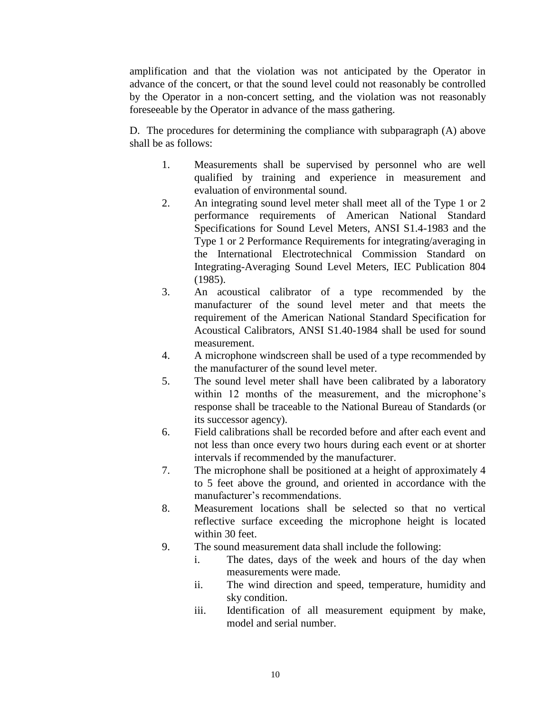amplification and that the violation was not anticipated by the Operator in advance of the concert, or that the sound level could not reasonably be controlled by the Operator in a non-concert setting, and the violation was not reasonably foreseeable by the Operator in advance of the mass gathering.

D. The procedures for determining the compliance with subparagraph (A) above shall be as follows:

- 1. Measurements shall be supervised by personnel who are well qualified by training and experience in measurement and evaluation of environmental sound.
- 2. An integrating sound level meter shall meet all of the Type 1 or 2 performance requirements of American National Standard Specifications for Sound Level Meters, ANSI S1.4-1983 and the Type 1 or 2 Performance Requirements for integrating/averaging in the International Electrotechnical Commission Standard on Integrating-Averaging Sound Level Meters, IEC Publication 804 (1985).
- 3. An acoustical calibrator of a type recommended by the manufacturer of the sound level meter and that meets the requirement of the American National Standard Specification for Acoustical Calibrators, ANSI S1.40-1984 shall be used for sound measurement.
- 4. A microphone windscreen shall be used of a type recommended by the manufacturer of the sound level meter.
- 5. The sound level meter shall have been calibrated by a laboratory within 12 months of the measurement, and the microphone's response shall be traceable to the National Bureau of Standards (or its successor agency).
- 6. Field calibrations shall be recorded before and after each event and not less than once every two hours during each event or at shorter intervals if recommended by the manufacturer.
- 7. The microphone shall be positioned at a height of approximately 4 to 5 feet above the ground, and oriented in accordance with the manufacturer's recommendations.
- 8. Measurement locations shall be selected so that no vertical reflective surface exceeding the microphone height is located within 30 feet.
- 9. The sound measurement data shall include the following:
	- i. The dates, days of the week and hours of the day when measurements were made.
	- ii. The wind direction and speed, temperature, humidity and sky condition.
	- iii. Identification of all measurement equipment by make, model and serial number.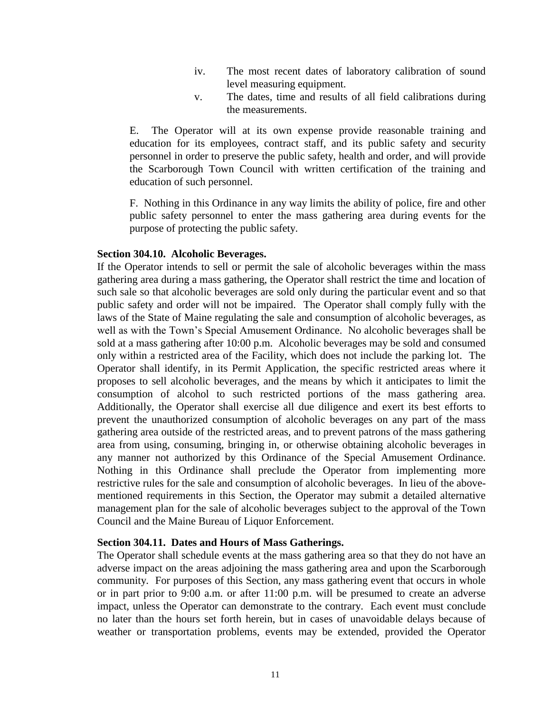- iv. The most recent dates of laboratory calibration of sound level measuring equipment.
- v. The dates, time and results of all field calibrations during the measurements.

E. The Operator will at its own expense provide reasonable training and education for its employees, contract staff, and its public safety and security personnel in order to preserve the public safety, health and order, and will provide the Scarborough Town Council with written certification of the training and education of such personnel.

F. Nothing in this Ordinance in any way limits the ability of police, fire and other public safety personnel to enter the mass gathering area during events for the purpose of protecting the public safety.

# <span id="page-12-0"></span>**Section 304.10. Alcoholic Beverages.**

If the Operator intends to sell or permit the sale of alcoholic beverages within the mass gathering area during a mass gathering, the Operator shall restrict the time and location of such sale so that alcoholic beverages are sold only during the particular event and so that public safety and order will not be impaired. The Operator shall comply fully with the laws of the State of Maine regulating the sale and consumption of alcoholic beverages, as well as with the Town's Special Amusement Ordinance. No alcoholic beverages shall be sold at a mass gathering after 10:00 p.m. Alcoholic beverages may be sold and consumed only within a restricted area of the Facility, which does not include the parking lot. The Operator shall identify, in its Permit Application, the specific restricted areas where it proposes to sell alcoholic beverages, and the means by which it anticipates to limit the consumption of alcohol to such restricted portions of the mass gathering area. Additionally, the Operator shall exercise all due diligence and exert its best efforts to prevent the unauthorized consumption of alcoholic beverages on any part of the mass gathering area outside of the restricted areas, and to prevent patrons of the mass gathering area from using, consuming, bringing in, or otherwise obtaining alcoholic beverages in any manner not authorized by this Ordinance of the Special Amusement Ordinance. Nothing in this Ordinance shall preclude the Operator from implementing more restrictive rules for the sale and consumption of alcoholic beverages. In lieu of the abovementioned requirements in this Section, the Operator may submit a detailed alternative management plan for the sale of alcoholic beverages subject to the approval of the Town Council and the Maine Bureau of Liquor Enforcement.

# <span id="page-12-1"></span>**Section 304.11. Dates and Hours of Mass Gatherings.**

The Operator shall schedule events at the mass gathering area so that they do not have an adverse impact on the areas adjoining the mass gathering area and upon the Scarborough community. For purposes of this Section, any mass gathering event that occurs in whole or in part prior to 9:00 a.m. or after 11:00 p.m. will be presumed to create an adverse impact, unless the Operator can demonstrate to the contrary. Each event must conclude no later than the hours set forth herein, but in cases of unavoidable delays because of weather or transportation problems, events may be extended, provided the Operator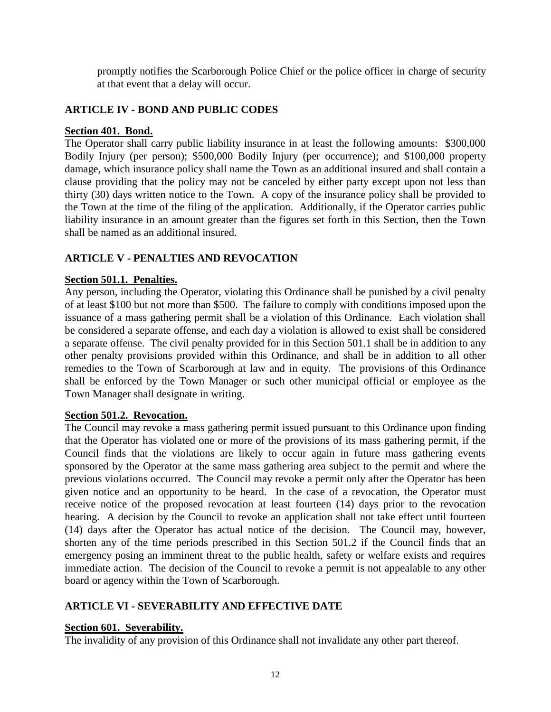promptly notifies the Scarborough Police Chief or the police officer in charge of security at that event that a delay will occur.

# <span id="page-13-0"></span>**ARTICLE IV - BOND AND PUBLIC CODES**

# <span id="page-13-1"></span>**Section 401. Bond.**

The Operator shall carry public liability insurance in at least the following amounts: \$300,000 Bodily Injury (per person); \$500,000 Bodily Injury (per occurrence); and \$100,000 property damage, which insurance policy shall name the Town as an additional insured and shall contain a clause providing that the policy may not be canceled by either party except upon not less than thirty (30) days written notice to the Town. A copy of the insurance policy shall be provided to the Town at the time of the filing of the application. Additionally, if the Operator carries public liability insurance in an amount greater than the figures set forth in this Section, then the Town shall be named as an additional insured.

# <span id="page-13-2"></span>**ARTICLE V - PENALTIES AND REVOCATION**

# <span id="page-13-3"></span>**Section 501.1. Penalties.**

Any person, including the Operator, violating this Ordinance shall be punished by a civil penalty of at least \$100 but not more than \$500. The failure to comply with conditions imposed upon the issuance of a mass gathering permit shall be a violation of this Ordinance. Each violation shall be considered a separate offense, and each day a violation is allowed to exist shall be considered a separate offense. The civil penalty provided for in this Section 501.1 shall be in addition to any other penalty provisions provided within this Ordinance, and shall be in addition to all other remedies to the Town of Scarborough at law and in equity. The provisions of this Ordinance shall be enforced by the Town Manager or such other municipal official or employee as the Town Manager shall designate in writing.

# <span id="page-13-4"></span>**Section 501.2. Revocation.**

The Council may revoke a mass gathering permit issued pursuant to this Ordinance upon finding that the Operator has violated one or more of the provisions of its mass gathering permit, if the Council finds that the violations are likely to occur again in future mass gathering events sponsored by the Operator at the same mass gathering area subject to the permit and where the previous violations occurred. The Council may revoke a permit only after the Operator has been given notice and an opportunity to be heard. In the case of a revocation, the Operator must receive notice of the proposed revocation at least fourteen (14) days prior to the revocation hearing. A decision by the Council to revoke an application shall not take effect until fourteen (14) days after the Operator has actual notice of the decision. The Council may, however, shorten any of the time periods prescribed in this Section 501.2 if the Council finds that an emergency posing an imminent threat to the public health, safety or welfare exists and requires immediate action. The decision of the Council to revoke a permit is not appealable to any other board or agency within the Town of Scarborough.

# <span id="page-13-5"></span>**ARTICLE VI - SEVERABILITY AND EFFECTIVE DATE**

# <span id="page-13-6"></span>**Section 601. Severability.**

The invalidity of any provision of this Ordinance shall not invalidate any other part thereof.